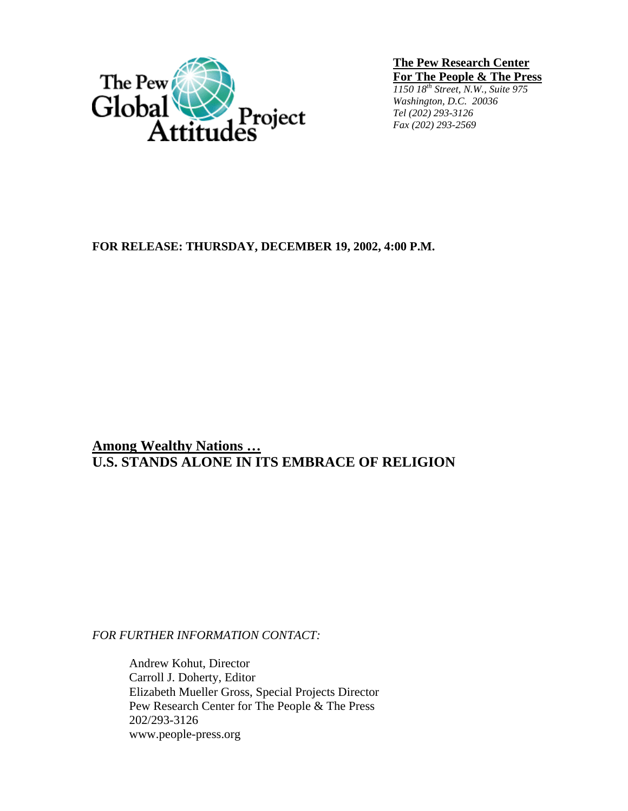

**The Pew Research Center For The People & The Press**

*1150 18th Street, N.W., Suite 975 Washington, D.C. 20036 Tel (202) 293-3126 Fax (202) 293-2569*

## **FOR RELEASE: THURSDAY, DECEMBER 19, 2002, 4:00 P.M.**

**Among Wealthy Nations … U.S. STANDS ALONE IN ITS EMBRACE OF RELIGION** 

*FOR FURTHER INFORMATION CONTACT:* 

Andrew Kohut, Director Carroll J. Doherty, Editor Elizabeth Mueller Gross, Special Projects Director Pew Research Center for The People & The Press 202/293-3126 www.people-press.org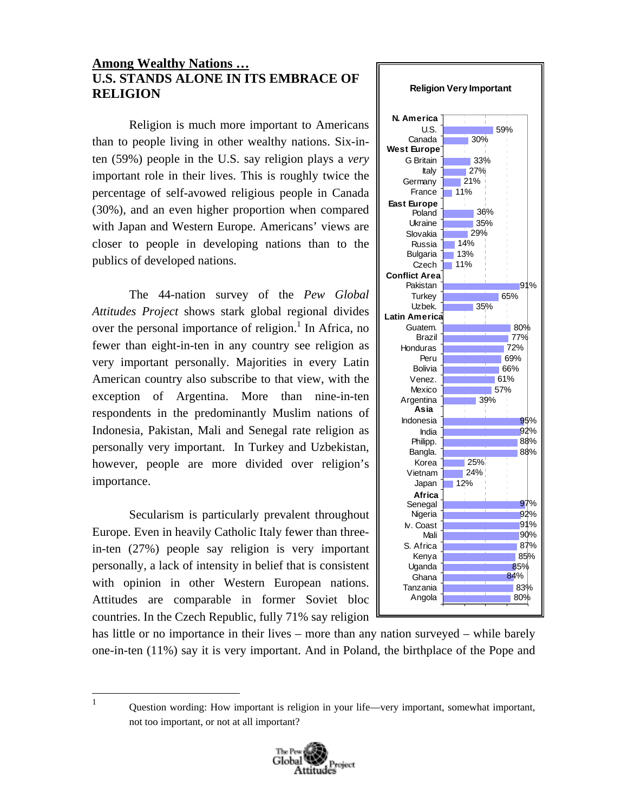## **Among Wealthy Nations … U.S. STANDS ALONE IN ITS EMBRACE OF RELIGION**

Religion is much more important to Americans than to people living in other wealthy nations. Six-inten (59%) people in the U.S. say religion plays a *very*  important role in their lives. This is roughly twice the percentage of self-avowed religious people in Canada (30%), and an even higher proportion when compared with Japan and Western Europe. Americans' views are closer to people in developing nations than to the publics of developed nations.

 The 44-nation survey of the *Pew Global Attitudes Project* shows stark global regional divides over the personal importance of religion.<sup>1</sup> In Africa, no fewer than eight-in-ten in any country see religion as very important personally. Majorities in every Latin American country also subscribe to that view, with the exception of Argentina. More than nine-in-ten respondents in the predominantly Muslim nations of Indonesia, Pakistan, Mali and Senegal rate religion as personally very important. In Turkey and Uzbekistan, however, people are more divided over religion's importance.

 Secularism is particularly prevalent throughout Europe. Even in heavily Catholic Italy fewer than threein-ten (27%) people say religion is very important personally, a lack of intensity in belief that is consistent with opinion in other Western European nations. Attitudes are comparable in former Soviet bloc countries. In the Czech Republic, fully 71% say religion

 $\frac{1}{1}$ 



has little or no importance in their lives – more than any nation surveyed – while barely one-in-ten (11%) say it is very important. And in Poland, the birthplace of the Pope and

 Question wording: How important is religion in your life—very important, somewhat important, not too important, or not at all important?